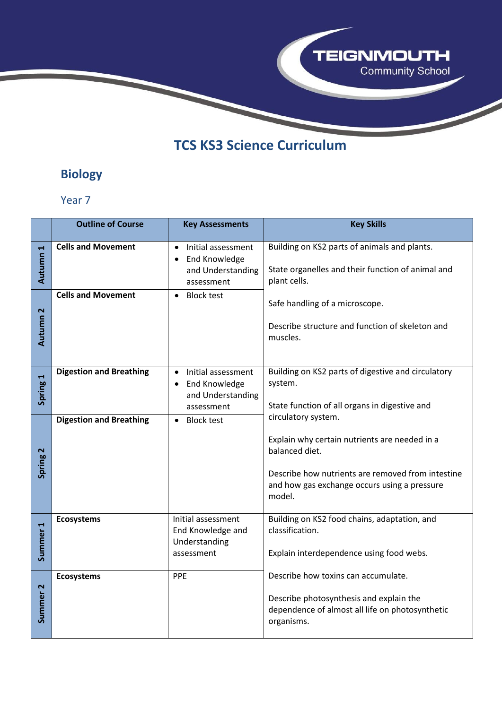

# **TCS KS3 Science Curriculum**

## **Biology**

|                     | <b>Outline of Course</b>       | <b>Key Assessments</b>                                                                                  | <b>Key Skills</b>                                                                                                                                                                                     |
|---------------------|--------------------------------|---------------------------------------------------------------------------------------------------------|-------------------------------------------------------------------------------------------------------------------------------------------------------------------------------------------------------|
| Autumn <sub>1</sub> | <b>Cells and Movement</b>      | Initial assessment<br>$\bullet$<br><b>End Knowledge</b><br>and Understanding<br>assessment              | Building on KS2 parts of animals and plants.<br>State organelles and their function of animal and<br>plant cells.                                                                                     |
| Autumn <sub>2</sub> | <b>Cells and Movement</b>      | <b>Block test</b><br>$\bullet$                                                                          | Safe handling of a microscope.<br>Describe structure and function of skeleton and<br>muscles.                                                                                                         |
| Spring 1            | <b>Digestion and Breathing</b> | Initial assessment<br>$\bullet$<br><b>End Knowledge</b><br>$\bullet$<br>and Understanding<br>assessment | Building on KS2 parts of digestive and circulatory<br>system.<br>State function of all organs in digestive and                                                                                        |
| Spring 2            | <b>Digestion and Breathing</b> | <b>Block test</b><br>$\bullet$                                                                          | circulatory system.<br>Explain why certain nutrients are needed in a<br>balanced diet.<br>Describe how nutrients are removed from intestine<br>and how gas exchange occurs using a pressure<br>model. |
| Summer <sub>1</sub> | <b>Ecosystems</b>              | Initial assessment<br>End Knowledge and<br>Understanding<br>assessment                                  | Building on KS2 food chains, adaptation, and<br>classification.<br>Explain interdependence using food webs.                                                                                           |
| Summer <sub>2</sub> | <b>Ecosystems</b>              | PPE                                                                                                     | Describe how toxins can accumulate.<br>Describe photosynthesis and explain the<br>dependence of almost all life on photosynthetic<br>organisms.                                                       |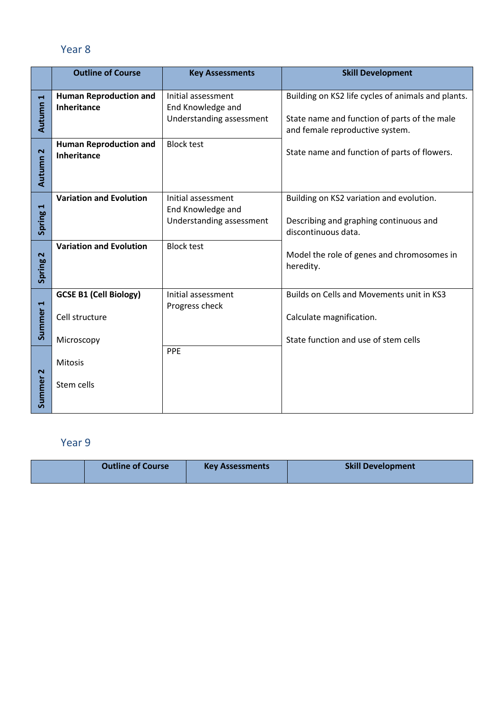#### Year 8

|                                 | <b>Outline of Course</b>                                      | <b>Key Assessments</b>                                              | <b>Skill Development</b>                                                                                                              |
|---------------------------------|---------------------------------------------------------------|---------------------------------------------------------------------|---------------------------------------------------------------------------------------------------------------------------------------|
| $\blacktriangleright$<br>Autumn | <b>Human Reproduction and</b><br>Inheritance                  | Initial assessment<br>End Knowledge and<br>Understanding assessment | Building on KS2 life cycles of animals and plants.<br>State name and function of parts of the male<br>and female reproductive system. |
| Autumn <sub>2</sub>             | <b>Human Reproduction and</b><br>Inheritance                  | <b>Block test</b>                                                   | State name and function of parts of flowers.                                                                                          |
| Spring 1                        | <b>Variation and Evolution</b>                                | Initial assessment<br>End Knowledge and<br>Understanding assessment | Building on KS2 variation and evolution.<br>Describing and graphing continuous and<br>discontinuous data.                             |
| Spring 2                        | <b>Variation and Evolution</b>                                | <b>Block test</b>                                                   | Model the role of genes and chromosomes in<br>heredity.                                                                               |
| Summer <sub>1</sub>             | <b>GCSE B1 (Cell Biology)</b><br>Cell structure<br>Microscopy | Initial assessment<br>Progress check                                | Builds on Cells and Movements unit in KS3<br>Calculate magnification.<br>State function and use of stem cells                         |
| $\mathbf{\tilde{z}}$<br>Summer  | Mitosis<br>Stem cells                                         | PPE                                                                 |                                                                                                                                       |

| <b>Outline of Course</b> | <b>Key Assessments</b> | <b>Skill Development</b> |
|--------------------------|------------------------|--------------------------|
|                          |                        |                          |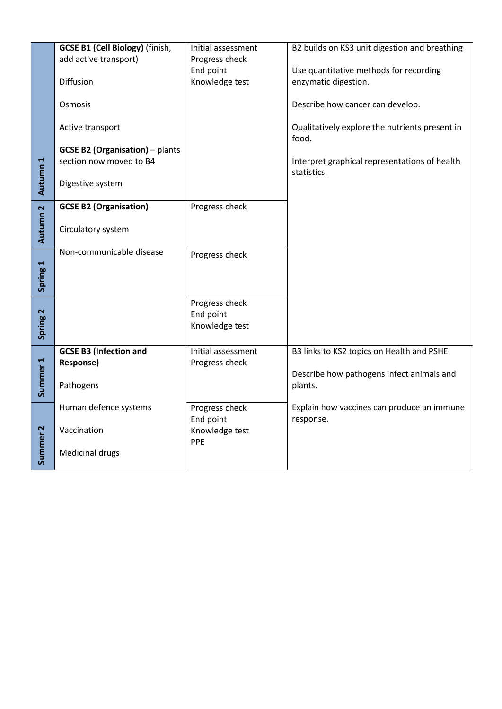|                     | <b>GCSE B1 (Cell Biology)</b> (finish, | Initial assessment | B2 builds on KS3 unit digestion and breathing                |
|---------------------|----------------------------------------|--------------------|--------------------------------------------------------------|
|                     | add active transport)                  | Progress check     |                                                              |
|                     |                                        | End point          | Use quantitative methods for recording                       |
|                     | Diffusion                              | Knowledge test     | enzymatic digestion.                                         |
|                     | Osmosis                                |                    | Describe how cancer can develop.                             |
|                     | Active transport                       |                    | Qualitatively explore the nutrients present in<br>food.      |
|                     | <b>GCSE B2 (Organisation)</b> - plants |                    |                                                              |
|                     | section now moved to B4                |                    | Interpret graphical representations of health<br>statistics. |
| Autumn <sub>1</sub> | Digestive system                       |                    |                                                              |
|                     | <b>GCSE B2 (Organisation)</b>          | Progress check     |                                                              |
| Autumn <sub>2</sub> | Circulatory system                     |                    |                                                              |
|                     | Non-communicable disease               | Progress check     |                                                              |
|                     |                                        |                    |                                                              |
| Spring 1            |                                        |                    |                                                              |
|                     |                                        | Progress check     |                                                              |
|                     |                                        | End point          |                                                              |
| Spring <sub>2</sub> |                                        | Knowledge test     |                                                              |
|                     |                                        |                    |                                                              |
|                     | <b>GCSE B3 (Infection and</b>          | Initial assessment | B3 links to KS2 topics on Health and PSHE                    |
|                     | <b>Response)</b>                       | Progress check     |                                                              |
| Summer <sub>1</sub> | Pathogens                              |                    | Describe how pathogens infect animals and<br>plants.         |
|                     | Human defence systems                  | Progress check     | Explain how vaccines can produce an immune                   |
|                     |                                        | End point          | response.                                                    |
|                     | Vaccination                            | Knowledge test     |                                                              |
| Summer <sub>2</sub> | Medicinal drugs                        | PPE                |                                                              |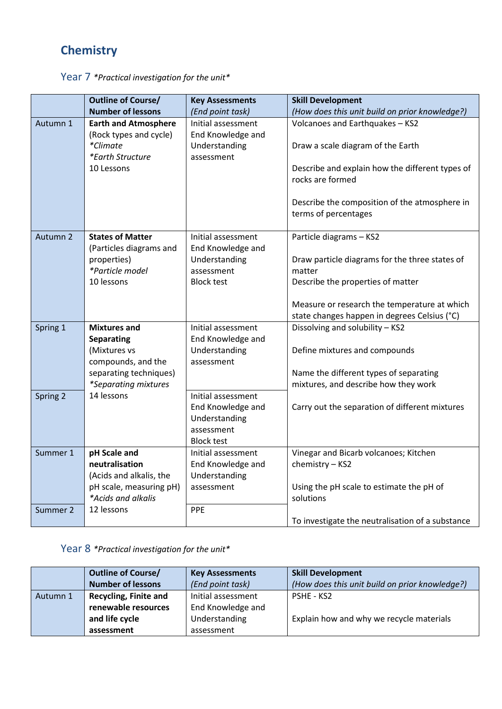## **Chemistry**

|          | <b>Outline of Course/</b>                 | <b>Key Assessments</b> | <b>Skill Development</b>                         |
|----------|-------------------------------------------|------------------------|--------------------------------------------------|
|          | <b>Number of lessons</b>                  | (End point task)       | (How does this unit build on prior knowledge?)   |
| Autumn 1 | <b>Earth and Atmosphere</b>               | Initial assessment     | Volcanoes and Earthquakes - KS2                  |
|          | (Rock types and cycle)                    | End Knowledge and      |                                                  |
|          | *Climate                                  | Understanding          | Draw a scale diagram of the Earth                |
|          | *Earth Structure                          | assessment             |                                                  |
|          | 10 Lessons                                |                        | Describe and explain how the different types of  |
|          |                                           |                        | rocks are formed                                 |
|          |                                           |                        |                                                  |
|          |                                           |                        | Describe the composition of the atmosphere in    |
|          |                                           |                        | terms of percentages                             |
| Autumn 2 | <b>States of Matter</b>                   | Initial assessment     | Particle diagrams - KS2                          |
|          | (Particles diagrams and                   | End Knowledge and      |                                                  |
|          | properties)                               | Understanding          | Draw particle diagrams for the three states of   |
|          | *Particle model                           | assessment             | matter                                           |
|          | 10 lessons                                | <b>Block test</b>      | Describe the properties of matter                |
|          |                                           |                        |                                                  |
|          |                                           |                        | Measure or research the temperature at which     |
|          |                                           |                        | state changes happen in degrees Celsius (°C)     |
| Spring 1 | <b>Mixtures and</b>                       | Initial assessment     | Dissolving and solubility - KS2                  |
|          | <b>Separating</b>                         | End Knowledge and      |                                                  |
|          | (Mixtures vs                              | Understanding          | Define mixtures and compounds                    |
|          | compounds, and the                        | assessment             |                                                  |
|          | separating techniques)                    |                        | Name the different types of separating           |
| Spring 2 | <i>*Separating mixtures</i><br>14 lessons | Initial assessment     | mixtures, and describe how they work             |
|          |                                           | End Knowledge and      | Carry out the separation of different mixtures   |
|          |                                           | Understanding          |                                                  |
|          |                                           | assessment             |                                                  |
|          |                                           | <b>Block test</b>      |                                                  |
| Summer 1 | pH Scale and                              | Initial assessment     | Vinegar and Bicarb volcanoes; Kitchen            |
|          | neutralisation                            | End Knowledge and      | chemistry - KS2                                  |
|          | (Acids and alkalis, the                   | Understanding          |                                                  |
|          | pH scale, measuring pH)                   | assessment             | Using the pH scale to estimate the pH of         |
|          | *Acids and alkalis                        |                        | solutions                                        |
| Summer 2 | 12 lessons                                | PPE                    |                                                  |
|          |                                           |                        | To investigate the neutralisation of a substance |

Year 7 *\*Practical investigation for the unit\**

Year 8 *\*Practical investigation for the unit\**

|          | <b>Outline of Course/</b>    | <b>Key Assessments</b> | <b>Skill Development</b>                       |
|----------|------------------------------|------------------------|------------------------------------------------|
|          | <b>Number of lessons</b>     | (End point task)       | (How does this unit build on prior knowledge?) |
| Autumn 1 | <b>Recycling, Finite and</b> | Initial assessment     | <b>PSHE - KS2</b>                              |
|          | renewable resources          | End Knowledge and      |                                                |
|          | and life cycle               | Understanding          | Explain how and why we recycle materials       |
|          | assessment                   | assessment             |                                                |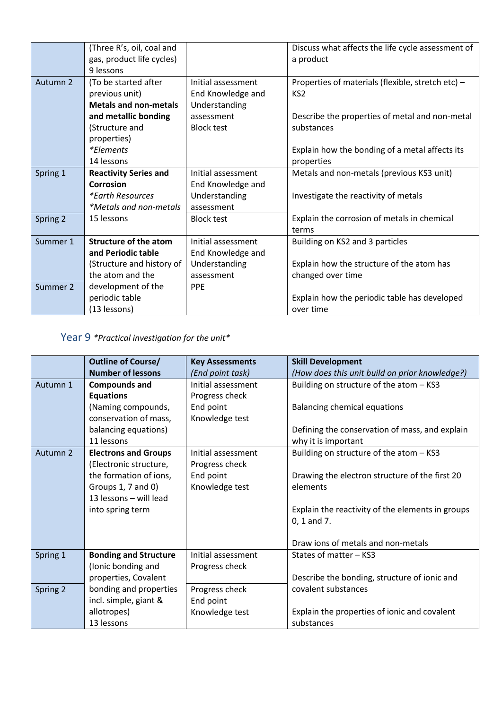|          | (Three R's, oil, coal and    |                    | Discuss what affects the life cycle assessment of |
|----------|------------------------------|--------------------|---------------------------------------------------|
|          | gas, product life cycles)    |                    | a product                                         |
|          | 9 lessons                    |                    |                                                   |
| Autumn 2 | (To be started after         | Initial assessment | Properties of materials (flexible, stretch etc) - |
|          | previous unit)               | End Knowledge and  | KS <sub>2</sub>                                   |
|          | <b>Metals and non-metals</b> | Understanding      |                                                   |
|          | and metallic bonding         | assessment         | Describe the properties of metal and non-metal    |
|          | (Structure and               | <b>Block test</b>  | substances                                        |
|          | properties)                  |                    |                                                   |
|          | <i>*Elements</i>             |                    | Explain how the bonding of a metal affects its    |
|          | 14 lessons                   |                    | properties                                        |
| Spring 1 | <b>Reactivity Series and</b> | Initial assessment | Metals and non-metals (previous KS3 unit)         |
|          | Corrosion                    | End Knowledge and  |                                                   |
|          | <i>*Earth Resources</i>      | Understanding      | Investigate the reactivity of metals              |
|          | *Metals and non-metals       | assessment         |                                                   |
| Spring 2 | 15 lessons                   | <b>Block test</b>  | Explain the corrosion of metals in chemical       |
|          |                              |                    | terms                                             |
| Summer 1 | <b>Structure of the atom</b> | Initial assessment | Building on KS2 and 3 particles                   |
|          | and Periodic table           | End Knowledge and  |                                                   |
|          | (Structure and history of    | Understanding      | Explain how the structure of the atom has         |
|          | the atom and the             | assessment         | changed over time                                 |
| Summer 2 | development of the           | <b>PPE</b>         |                                                   |
|          | periodic table               |                    | Explain how the periodic table has developed      |
|          | (13 lessons)                 |                    | over time                                         |

Year 9 *\*Practical investigation for the unit\**

|          | <b>Outline of Course/</b>    | <b>Key Assessments</b> | <b>Skill Development</b>                         |
|----------|------------------------------|------------------------|--------------------------------------------------|
|          | <b>Number of lessons</b>     | (End point task)       | (How does this unit build on prior knowledge?)   |
| Autumn 1 | <b>Compounds and</b>         | Initial assessment     | Building on structure of the atom - KS3          |
|          | <b>Equations</b>             | Progress check         |                                                  |
|          | (Naming compounds,           | End point              | <b>Balancing chemical equations</b>              |
|          | conservation of mass,        | Knowledge test         |                                                  |
|          | balancing equations)         |                        | Defining the conservation of mass, and explain   |
|          | 11 lessons                   |                        | why it is important                              |
| Autumn 2 | <b>Electrons and Groups</b>  | Initial assessment     | Building on structure of the atom - KS3          |
|          | (Electronic structure,       | Progress check         |                                                  |
|          | the formation of ions,       | End point              | Drawing the electron structure of the first 20   |
|          | Groups 1, 7 and 0)           | Knowledge test         | elements                                         |
|          | 13 lessons - will lead       |                        |                                                  |
|          | into spring term             |                        | Explain the reactivity of the elements in groups |
|          |                              |                        | $0, 1$ and $7.$                                  |
|          |                              |                        |                                                  |
|          |                              |                        | Draw ions of metals and non-metals               |
| Spring 1 | <b>Bonding and Structure</b> | Initial assessment     | States of matter - KS3                           |
|          | (Ionic bonding and           | Progress check         |                                                  |
|          | properties, Covalent         |                        | Describe the bonding, structure of ionic and     |
| Spring 2 | bonding and properties       | Progress check         | covalent substances                              |
|          | incl. simple, giant &        | End point              |                                                  |
|          | allotropes)                  | Knowledge test         | Explain the properties of ionic and covalent     |
|          | 13 lessons                   |                        | substances                                       |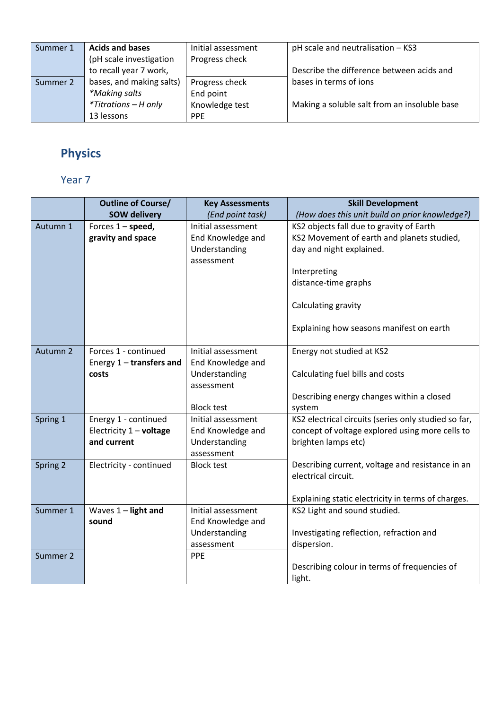| Summer 1 | <b>Acids and bases</b>   | Initial assessment | pH scale and neutralisation - KS3            |
|----------|--------------------------|--------------------|----------------------------------------------|
|          | (pH scale investigation  | Progress check     |                                              |
|          | to recall year 7 work,   |                    | Describe the difference between acids and    |
| Summer 2 | bases, and making salts) | Progress check     | bases in terms of ions                       |
|          | *Making salts            | End point          |                                              |
|          | *Titrations - H only     | Knowledge test     | Making a soluble salt from an insoluble base |
|          | 13 lessons               | <b>PPE</b>         |                                              |

# **Physics**

|          | <b>Outline of Course/</b>  | <b>Key Assessments</b> | <b>Skill Development</b>                                                |
|----------|----------------------------|------------------------|-------------------------------------------------------------------------|
|          | <b>SOW delivery</b>        | (End point task)       | (How does this unit build on prior knowledge?)                          |
| Autumn 1 | Forces $1$ – speed,        | Initial assessment     | KS2 objects fall due to gravity of Earth                                |
|          | gravity and space          | End Knowledge and      | KS2 Movement of earth and planets studied,                              |
|          |                            | Understanding          | day and night explained.                                                |
|          |                            | assessment             |                                                                         |
|          |                            |                        | Interpreting                                                            |
|          |                            |                        | distance-time graphs                                                    |
|          |                            |                        | Calculating gravity                                                     |
|          |                            |                        | Explaining how seasons manifest on earth                                |
|          |                            |                        |                                                                         |
| Autumn 2 | Forces 1 - continued       | Initial assessment     | Energy not studied at KS2                                               |
|          | Energy $1$ – transfers and | End Knowledge and      |                                                                         |
|          | costs                      | Understanding          | Calculating fuel bills and costs                                        |
|          |                            | assessment             |                                                                         |
|          |                            |                        | Describing energy changes within a closed                               |
|          |                            | <b>Block test</b>      | system                                                                  |
| Spring 1 | Energy 1 - continued       | Initial assessment     | KS2 electrical circuits (series only studied so far,                    |
|          | Electricity 1 - voltage    | End Knowledge and      | concept of voltage explored using more cells to                         |
|          | and current                | Understanding          | brighten lamps etc)                                                     |
|          |                            | assessment             |                                                                         |
| Spring 2 | Electricity - continued    | <b>Block test</b>      | Describing current, voltage and resistance in an<br>electrical circuit. |
|          |                            |                        |                                                                         |
|          |                            |                        | Explaining static electricity in terms of charges.                      |
| Summer 1 | Waves $1$ – light and      | Initial assessment     | KS2 Light and sound studied.                                            |
|          | sound                      | End Knowledge and      |                                                                         |
|          |                            | Understanding          | Investigating reflection, refraction and                                |
|          |                            | assessment             | dispersion.                                                             |
| Summer 2 |                            | PPE                    |                                                                         |
|          |                            |                        | Describing colour in terms of frequencies of                            |
|          |                            |                        | light.                                                                  |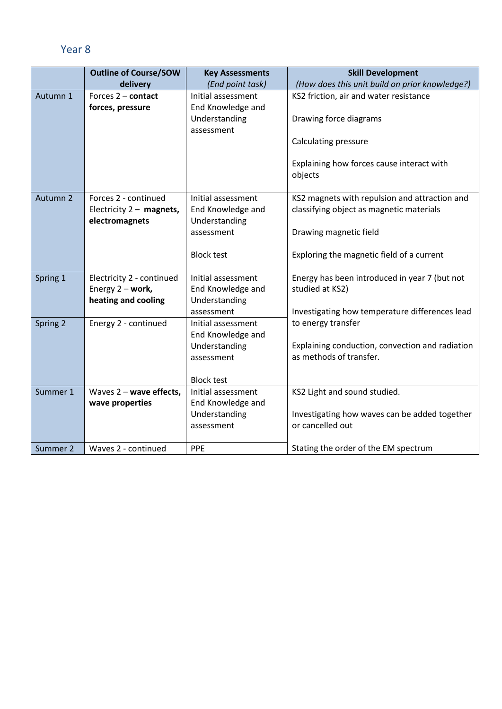|          | <b>Outline of Course/SOW</b> | <b>Key Assessments</b>      | <b>Skill Development</b>                        |
|----------|------------------------------|-----------------------------|-------------------------------------------------|
|          | delivery                     | (End point task)            | (How does this unit build on prior knowledge?)  |
| Autumn 1 | Forces 2 - contact           | Initial assessment          | KS2 friction, air and water resistance          |
|          | forces, pressure             | End Knowledge and           |                                                 |
|          |                              | Understanding               | Drawing force diagrams                          |
|          |                              | assessment                  |                                                 |
|          |                              |                             | Calculating pressure                            |
|          |                              |                             |                                                 |
|          |                              |                             | Explaining how forces cause interact with       |
|          |                              |                             | objects                                         |
| Autumn 2 | Forces 2 - continued         | Initial assessment          | KS2 magnets with repulsion and attraction and   |
|          | Electricity $2 -$ magnets,   | End Knowledge and           | classifying object as magnetic materials        |
|          | electromagnets               | Understanding               |                                                 |
|          |                              | assessment                  | Drawing magnetic field                          |
|          |                              |                             |                                                 |
|          |                              | <b>Block test</b>           | Exploring the magnetic field of a current       |
|          |                              |                             |                                                 |
| Spring 1 | Electricity 2 - continued    | Initial assessment          | Energy has been introduced in year 7 (but not   |
|          | Energy 2 - work,             | End Knowledge and           | studied at KS2)                                 |
|          | heating and cooling          | Understanding               |                                                 |
|          |                              | assessment                  | Investigating how temperature differences lead  |
| Spring 2 | Energy 2 - continued         | Initial assessment          | to energy transfer                              |
|          |                              | End Knowledge and           | Explaining conduction, convection and radiation |
|          |                              | Understanding<br>assessment | as methods of transfer.                         |
|          |                              |                             |                                                 |
|          |                              | <b>Block test</b>           |                                                 |
| Summer 1 | Waves 2 - wave effects,      | Initial assessment          | KS2 Light and sound studied.                    |
|          | wave properties              | End Knowledge and           |                                                 |
|          |                              | Understanding               | Investigating how waves can be added together   |
|          |                              | assessment                  | or cancelled out                                |
|          |                              |                             |                                                 |
| Summer 2 | Waves 2 - continued          | PPE                         | Stating the order of the EM spectrum            |